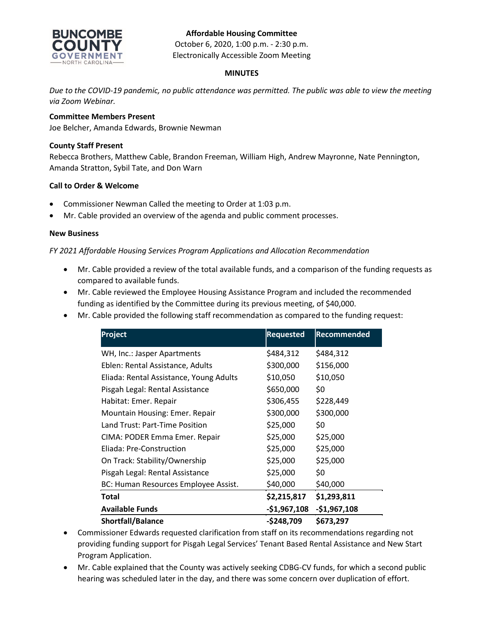# **BUNCOMBE**

#### **Affordable Housing Committee**

October 6, 2020, 1:00 p.m. - 2:30 p.m. Electronically Accessible Zoom Meeting

### **MINUTES**

*Due to the COVID-19 pandemic, no public attendance was permitted. The public was able to view the meeting via Zoom Webinar.*

## **Committee Members Present**

Joe Belcher, Amanda Edwards, Brownie Newman

### **County Staff Present**

Rebecca Brothers, Matthew Cable, Brandon Freeman, William High, Andrew Mayronne, Nate Pennington, Amanda Stratton, Sybil Tate, and Don Warn

### **Call to Order & Welcome**

- Commissioner Newman Called the meeting to Order at 1:03 p.m.
- Mr. Cable provided an overview of the agenda and public comment processes.

#### **New Business**

### *FY 2021 Affordable Housing Services Program Applications and Allocation Recommendation*

- Mr. Cable provided a review of the total available funds, and a comparison of the funding requests as compared to available funds.
- Mr. Cable reviewed the Employee Housing Assistance Program and included the recommended funding as identified by the Committee during its previous meeting, of \$40,000.
- Mr. Cable provided the following staff recommendation as compared to the funding request:

| Project                                 | <b>Requested</b> | <b>Recommended</b> |
|-----------------------------------------|------------------|--------------------|
| WH, Inc.: Jasper Apartments             | \$484,312        | \$484,312          |
| Eblen: Rental Assistance, Adults        | \$300,000        | \$156,000          |
| Eliada: Rental Assistance, Young Adults | \$10,050         | \$10,050           |
| Pisgah Legal: Rental Assistance         | \$650,000        | \$0                |
| Habitat: Emer. Repair                   | \$306,455        | \$228,449          |
| Mountain Housing: Emer. Repair          | \$300,000        | \$300,000          |
| Land Trust: Part-Time Position          | \$25,000         | \$0                |
| CIMA: PODER Emma Emer. Repair           | \$25,000         | \$25,000           |
| Eliada: Pre-Construction                | \$25,000         | \$25,000           |
| On Track: Stability/Ownership           | \$25,000         | \$25,000           |
| Pisgah Legal: Rental Assistance         | \$25,000         | \$0                |
| BC: Human Resources Employee Assist.    | \$40,000         | \$40,000           |
| Total                                   | \$2,215,817      | \$1,293,811        |
| <b>Available Funds</b>                  | $-$1,967,108$    | $-$1,967,108$      |
| <b>Shortfall/Balance</b>                | $-$248,709$      | \$673,297          |

- Commissioner Edwards requested clarification from staff on its recommendations regarding not providing funding support for Pisgah Legal Services' Tenant Based Rental Assistance and New Start Program Application.
- Mr. Cable explained that the County was actively seeking CDBG-CV funds, for which a second public hearing was scheduled later in the day, and there was some concern over duplication of effort.